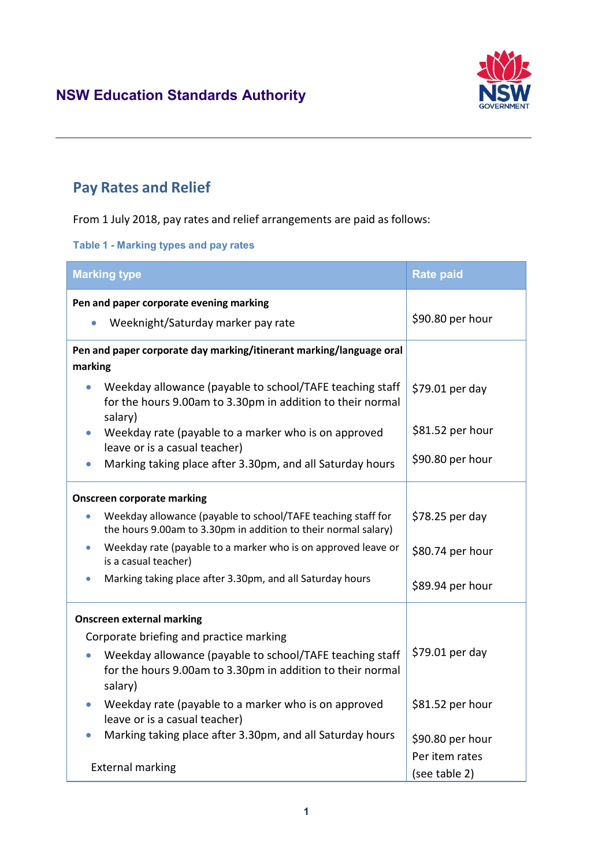

# **Pay Rates and Relief**

From 1 July 2018, pay rates and relief arrangements are paid as follows:

**Table 1 - Marking types and pay rates**

| <b>Marking type</b>                                                                                                                            | <b>Rate paid</b> |  |  |  |
|------------------------------------------------------------------------------------------------------------------------------------------------|------------------|--|--|--|
| Pen and paper corporate evening marking                                                                                                        |                  |  |  |  |
| Weeknight/Saturday marker pay rate<br>$\bullet$                                                                                                | \$90.80 per hour |  |  |  |
| Pen and paper corporate day marking/itinerant marking/language oral                                                                            |                  |  |  |  |
| marking                                                                                                                                        |                  |  |  |  |
| Weekday allowance (payable to school/TAFE teaching staff<br>$\bullet$<br>for the hours 9.00am to 3.30pm in addition to their normal<br>salary) | \$79.01 per day  |  |  |  |
| Weekday rate (payable to a marker who is on approved<br>$\bullet$<br>leave or is a casual teacher)                                             | \$81.52 per hour |  |  |  |
| Marking taking place after 3.30pm, and all Saturday hours                                                                                      | \$90.80 per hour |  |  |  |
| <b>Onscreen corporate marking</b>                                                                                                              |                  |  |  |  |
| Weekday allowance (payable to school/TAFE teaching staff for<br>the hours 9.00am to 3.30pm in addition to their normal salary)                 | $$78.25$ per day |  |  |  |
| Weekday rate (payable to a marker who is on approved leave or<br>is a casual teacher)                                                          | \$80.74 per hour |  |  |  |
| Marking taking place after 3.30pm, and all Saturday hours                                                                                      | \$89.94 per hour |  |  |  |
| <b>Onscreen external marking</b>                                                                                                               |                  |  |  |  |
| Corporate briefing and practice marking                                                                                                        |                  |  |  |  |
| Weekday allowance (payable to school/TAFE teaching staff<br>for the hours 9.00am to 3.30pm in addition to their normal<br>salary)              | \$79.01 per day  |  |  |  |
| Weekday rate (payable to a marker who is on approved<br>leave or is a casual teacher)                                                          | \$81.52 per hour |  |  |  |
| Marking taking place after 3.30pm, and all Saturday hours                                                                                      | \$90.80 per hour |  |  |  |
|                                                                                                                                                | Per item rates   |  |  |  |
| <b>External marking</b>                                                                                                                        | (see table 2)    |  |  |  |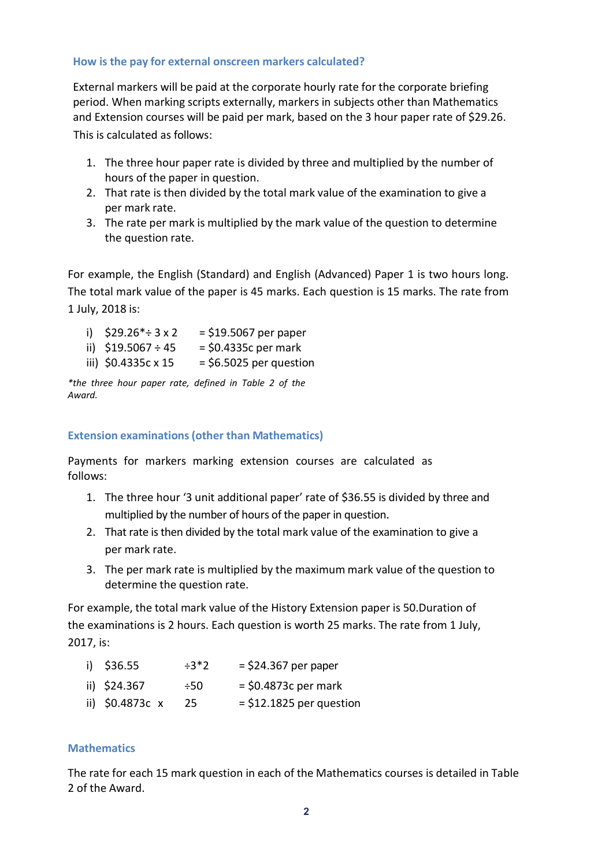#### **How is the pay for external onscreen markers calculated?**

External markers will be paid at the corporate hourly rate for the corporate briefing period. When marking scripts externally, markers in subjects other than Mathematics and Extension courses will be paid per mark, based on the 3 hour paper rate of \$29.26. This is calculated as follows:

- 1. The three hour paper rate is divided by three and multiplied by the number of hours of the paper in question.
- 2. That rate is then divided by the total mark value of the examination to give a per mark rate.
- 3. The rate per mark is multiplied by the mark value of the question to determine the question rate.

For example, the English (Standard) and English (Advanced) Paper 1 is two hours long. The total mark value of the paper is 45 marks. Each question is 15 marks. The rate from 1 July, 2018 is:

| i) $$29.26^* \div 3 \times 2$ | $=$ \$19.5067 per paper   |
|-------------------------------|---------------------------|
| ii) $$19.5067 \div 45$        | $=$ \$0.4335c per mark    |
| iii) \$0.4335c x 15           | $=$ \$6.5025 per question |

*\*the three hour paper rate, defined in Table 2 of the Award.*

#### **Extension examinations(other than Mathematics)**

Payments for markers marking extension courses are calculated as follows:

- 1. The three hour '3 unit additional paper' rate of \$36.55 is divided by three and multiplied by the number of hours of the paper in question.
- 2. That rate is then divided by the total mark value of the examination to give a per mark rate.
- 3. The per mark rate is multiplied by the maximum mark value of the question to determine the question rate.

For example, the total mark value of the History Extension paper is 50.Duration of the examinations is 2 hours. Each question is worth 25 marks. The rate from 1 July, 2017, is:

| i) \$36.55       | $\div 3*2$ | $=$ \$24.367 per paper     |
|------------------|------------|----------------------------|
| ii) \$24.367     | $\div 50$  | $=$ \$0.4873c per mark     |
| ii) $$0.4873c x$ | -25        | $=$ \$12.1825 per question |

#### **Mathematics**

The rate for each 15 mark question in each of the Mathematics courses is detailed in Table 2 of the Award.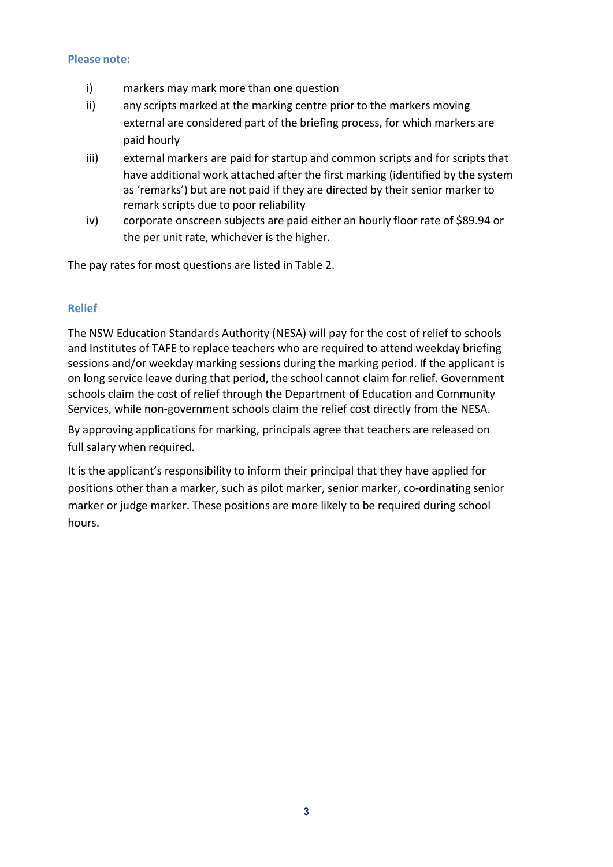#### **Please note:**

- i) markers may mark more than one question
- ii) any scripts marked at the marking centre prior to the markers moving external are considered part of the briefing process, for which markers are paid hourly
- iii) external markers are paid for startup and common scripts and for scripts that have additional work attached after the first marking (identified by the system as 'remarks') but are not paid if they are directed by their senior marker to remark scripts due to poor reliability
- iv) corporate onscreen subjects are paid either an hourly floor rate of \$89.94 or the per unit rate, whichever is the higher.

The pay rates for most questions are listed in Table 2.

### **Relief**

The NSW Education Standards Authority (NESA) will pay for the cost of relief to schools and Institutes of TAFE to replace teachers who are required to attend weekday briefing sessions and/or weekday marking sessions during the marking period. If the applicant is on long service leave during that period, the school cannot claim for relief. Government schools claim the cost of relief through the Department of Education and Community Services, while non-government schools claim the relief cost directly from the NESA.

By approving applications for marking, principals agree that teachers are released on full salary when required.

It is the applicant's responsibility to inform their principal that they have applied for positions other than a marker, such as pilot marker, senior marker, co-ordinating senior marker or judge marker. These positions are more likely to be required during school hours.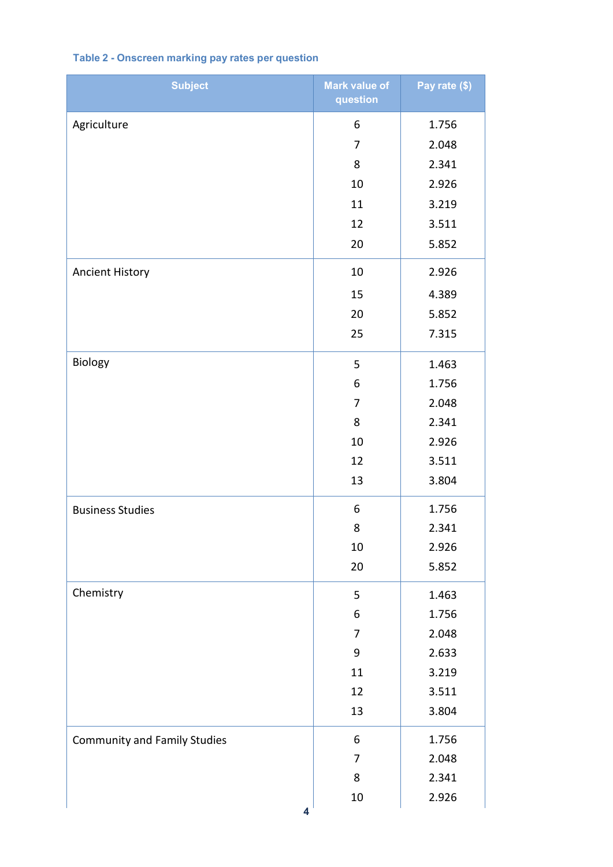## **Table 2 - Onscreen marking pay rates per question**

| <b>Subject</b>                      | <b>Mark value of</b><br>question | Pay rate (\$) |
|-------------------------------------|----------------------------------|---------------|
| Agriculture                         | 6                                | 1.756         |
|                                     | 7                                | 2.048         |
|                                     | 8                                | 2.341         |
|                                     | 10                               | 2.926         |
|                                     | 11                               | 3.219         |
|                                     | 12                               | 3.511         |
|                                     | 20                               | 5.852         |
| <b>Ancient History</b>              | 10                               | 2.926         |
|                                     | 15                               | 4.389         |
|                                     | 20                               | 5.852         |
|                                     | 25                               | 7.315         |
| Biology                             | 5                                | 1.463         |
|                                     | 6                                | 1.756         |
|                                     | 7                                | 2.048         |
|                                     | 8                                | 2.341         |
|                                     | 10                               | 2.926         |
|                                     | 12                               | 3.511         |
|                                     | 13                               | 3.804         |
| <b>Business Studies</b>             | 6                                | 1.756         |
|                                     | 8                                | 2.341         |
|                                     | 10                               | 2.926         |
|                                     | 20                               | 5.852         |
| Chemistry                           | 5                                | 1.463         |
|                                     | 6                                | 1.756         |
|                                     | 7                                | 2.048         |
|                                     | 9                                | 2.633         |
|                                     | 11                               | 3.219         |
|                                     | 12                               | 3.511         |
|                                     | 13                               | 3.804         |
| <b>Community and Family Studies</b> | 6                                | 1.756         |
|                                     | 7                                | 2.048         |
|                                     | 8                                | 2.341         |
| 4                                   | $10\,$                           | 2.926         |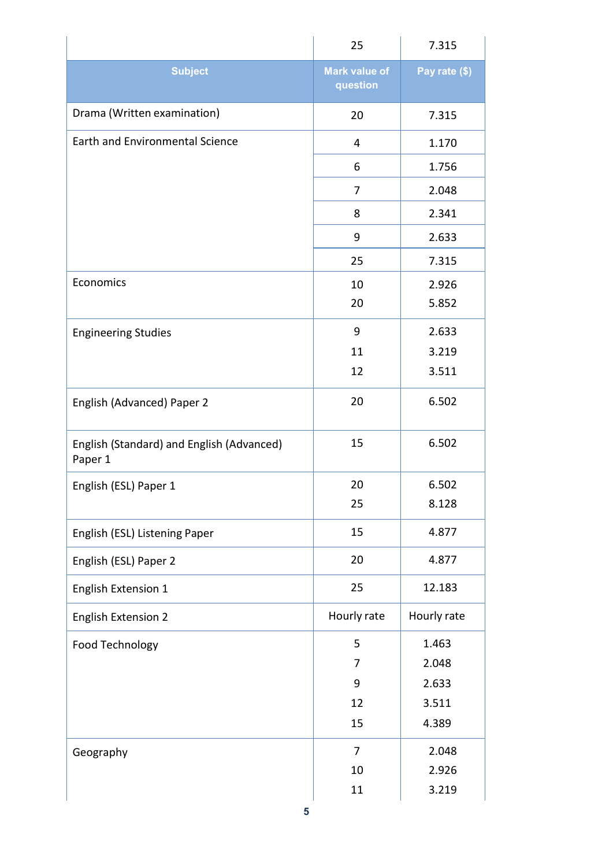|                                                      | 25                               | 7.315         |
|------------------------------------------------------|----------------------------------|---------------|
| <b>Subject</b>                                       | <b>Mark value of</b><br>question | Pay rate (\$) |
| Drama (Written examination)                          | 20                               | 7.315         |
| <b>Earth and Environmental Science</b>               | 4                                | 1.170         |
|                                                      | 6                                | 1.756         |
|                                                      | 7                                | 2.048         |
|                                                      | 8                                | 2.341         |
|                                                      | 9                                | 2.633         |
|                                                      | 25                               | 7.315         |
| Economics                                            | 10                               | 2.926         |
|                                                      | 20                               | 5.852         |
| <b>Engineering Studies</b>                           | 9                                | 2.633         |
|                                                      | 11                               | 3.219         |
|                                                      | 12                               | 3.511         |
| English (Advanced) Paper 2                           | 20                               | 6.502         |
| English (Standard) and English (Advanced)<br>Paper 1 | 15                               | 6.502         |
| English (ESL) Paper 1                                | 20                               | 6.502         |
|                                                      | 25                               | 8.128         |
| English (ESL) Listening Paper                        | 15                               | 4.877         |
| English (ESL) Paper 2                                | 20                               | 4.877         |
| <b>English Extension 1</b>                           | 25                               | 12.183        |
| <b>English Extension 2</b>                           | Hourly rate                      | Hourly rate   |
| Food Technology                                      | 5                                | 1.463         |
|                                                      | 7                                | 2.048         |
|                                                      | 9                                | 2.633         |
|                                                      | 12                               | 3.511         |
|                                                      | 15                               | 4.389         |
| Geography                                            | $\overline{7}$                   | 2.048         |
|                                                      | 10                               | 2.926         |
|                                                      | 11                               | 3.219         |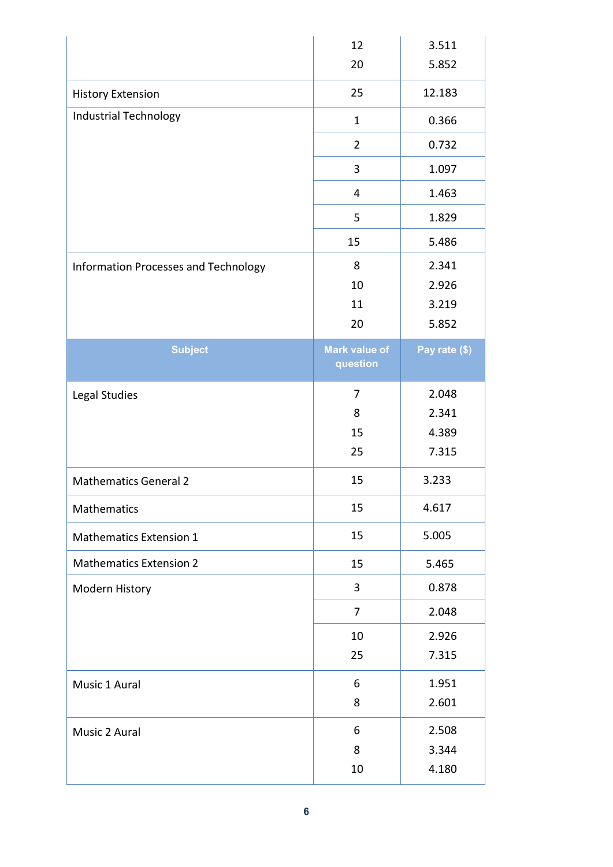|                                      | 12                               | 3.511         |
|--------------------------------------|----------------------------------|---------------|
|                                      | 20                               | 5.852         |
| <b>History Extension</b>             | 25                               | 12.183        |
| Industrial Technology                | $\mathbf{1}$                     | 0.366         |
|                                      | $\overline{2}$                   | 0.732         |
|                                      | 3                                | 1.097         |
|                                      | 4                                | 1.463         |
|                                      | 5                                | 1.829         |
|                                      | 15                               | 5.486         |
| Information Processes and Technology | 8                                | 2.341         |
|                                      | 10                               | 2.926         |
|                                      | 11                               | 3.219         |
|                                      | 20                               | 5.852         |
| <b>Subject</b>                       | <b>Mark value of</b><br>question | Pay rate (\$) |
| Legal Studies                        | 7                                | 2.048         |
|                                      | 8                                | 2.341         |
|                                      | 15                               | 4.389         |
|                                      | 25                               | 7.315         |
| <b>Mathematics General 2</b>         | 15                               | 3.233         |
| Mathematics                          | 15                               | 4.617         |
| <b>Mathematics Extension 1</b>       | 15                               | 5.005         |
| <b>Mathematics Extension 2</b>       | 15                               | 5.465         |
| Modern History                       | 3                                | 0.878         |
|                                      | 7                                | 2.048         |
|                                      | 10                               | 2.926         |
|                                      | 25                               | 7.315         |
| Music 1 Aural                        | 6                                | 1.951         |
|                                      | 8                                | 2.601         |
| Music 2 Aural                        | 6                                | 2.508         |
|                                      | 8                                | 3.344         |
|                                      | 10                               | 4.180         |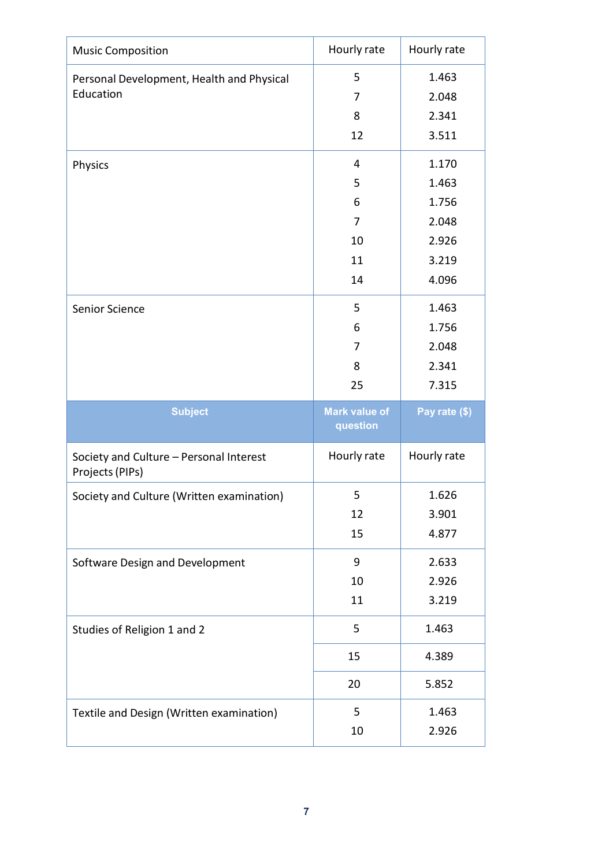| <b>Music Composition</b>                                   | Hourly rate                      | Hourly rate   |
|------------------------------------------------------------|----------------------------------|---------------|
| Personal Development, Health and Physical                  | 5                                | 1.463         |
| Education                                                  | 7                                | 2.048         |
|                                                            | 8                                | 2.341         |
|                                                            | 12                               | 3.511         |
| Physics                                                    | 4                                | 1.170         |
|                                                            | 5                                | 1.463         |
|                                                            | 6                                | 1.756         |
|                                                            | 7                                | 2.048         |
|                                                            | 10                               | 2.926         |
|                                                            | 11                               | 3.219         |
|                                                            | 14                               | 4.096         |
| Senior Science                                             | 5                                | 1.463         |
|                                                            | 6                                | 1.756         |
|                                                            | 7                                | 2.048         |
|                                                            | 8                                | 2.341         |
|                                                            | 25                               | 7.315         |
|                                                            |                                  |               |
| <b>Subject</b>                                             | <b>Mark value of</b><br>question | Pay rate (\$) |
| Society and Culture - Personal Interest<br>Projects (PIPs) | Hourly rate                      | Hourly rate   |
| Society and Culture (Written examination)                  | 5                                | 1.626         |
|                                                            | 12                               | 3.901         |
|                                                            | 15                               | 4.877         |
| Software Design and Development                            | 9                                | 2.633         |
|                                                            | 10                               | 2.926         |
|                                                            | 11                               | 3.219         |
| Studies of Religion 1 and 2                                | 5                                | 1.463         |
|                                                            | 15                               | 4.389         |
|                                                            | 20                               | 5.852         |
| Textile and Design (Written examination)                   | 5                                | 1.463         |